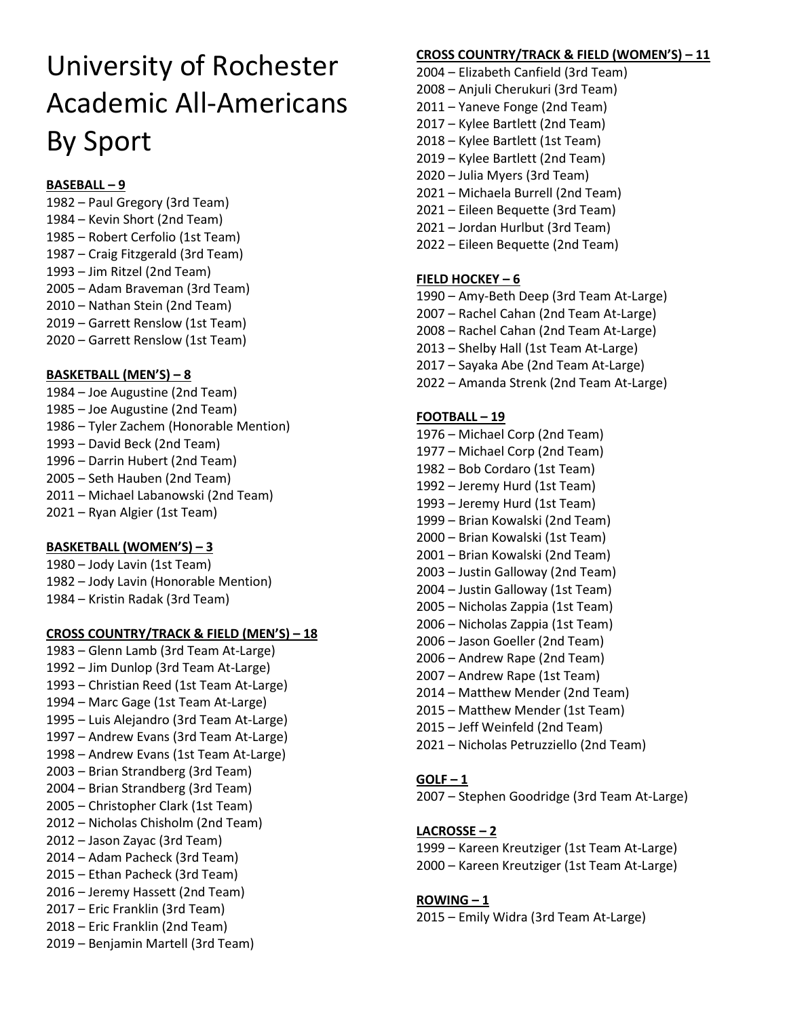# University of Rochester Academic All-Americans By Sport

## **BASEBALL – 9**

1982 – Paul Gregory (3rd Team) 1984 – Kevin Short (2nd Team) 1985 – Robert Cerfolio (1st Team) 1987 – Craig Fitzgerald (3rd Team) 1993 – Jim Ritzel (2nd Team) 2005 – Adam Braveman (3rd Team) 2010 – Nathan Stein (2nd Team) 2019 – Garrett Renslow (1st Team) 2020 – Garrett Renslow (1st Team)

## **BASKETBALL (MEN'S) – 8**

1984 – Joe Augustine (2nd Team) 1985 – Joe Augustine (2nd Team) 1986 – Tyler Zachem (Honorable Mention) 1993 – David Beck (2nd Team) 1996 – Darrin Hubert (2nd Team) 2005 – Seth Hauben (2nd Team) 2011 – Michael Labanowski (2nd Team) 2021 – Ryan Algier (1st Team)

## **BASKETBALL (WOMEN'S) – 3**

1980 – Jody Lavin (1st Team) 1982 – Jody Lavin (Honorable Mention) 1984 – Kristin Radak (3rd Team)

## **CROSS COUNTRY/TRACK & FIELD (MEN'S) – 18**

1983 – Glenn Lamb (3rd Team At-Large) 1992 – Jim Dunlop (3rd Team At-Large) 1993 – Christian Reed (1st Team At-Large) 1994 – Marc Gage (1st Team At-Large) 1995 – Luis Alejandro (3rd Team At-Large) 1997 – Andrew Evans (3rd Team At-Large) 1998 – Andrew Evans (1st Team At-Large) 2003 – Brian Strandberg (3rd Team) 2004 – Brian Strandberg (3rd Team) 2005 – Christopher Clark (1st Team) 2012 – Nicholas Chisholm (2nd Team) 2012 – Jason Zayac (3rd Team) 2014 – Adam Pacheck (3rd Team) 2015 – Ethan Pacheck (3rd Team) 2016 – Jeremy Hassett (2nd Team) 2017 – Eric Franklin (3rd Team) 2018 – Eric Franklin (2nd Team) 2019 – Benjamin Martell (3rd Team)

## **CROSS COUNTRY/TRACK & FIELD (WOMEN'S) – 11**

- 2004 Elizabeth Canfield (3rd Team)
- 2008 Anjuli Cherukuri (3rd Team)
- 2011 Yaneve Fonge (2nd Team)
- 2017 Kylee Bartlett (2nd Team)
- 2018 Kylee Bartlett (1st Team)
- 2019 Kylee Bartlett (2nd Team)
- 2020 Julia Myers (3rd Team)
- 2021 Michaela Burrell (2nd Team)
- 2021 Eileen Bequette (3rd Team)
- 2021 Jordan Hurlbut (3rd Team)
- 2022 Eileen Bequette (2nd Team)

## **FIELD HOCKEY – 6**

- 1990 Amy-Beth Deep (3rd Team At-Large)
- 2007 Rachel Cahan (2nd Team At-Large)
- 2008 Rachel Cahan (2nd Team At-Large)
- 2013 Shelby Hall (1st Team At-Large)
- 2017 Sayaka Abe (2nd Team At-Large)
- 2022 Amanda Strenk (2nd Team At-Large)

## **FOOTBALL – 19**

- 1976 Michael Corp (2nd Team)
- 1977 Michael Corp (2nd Team)
- 1982 Bob Cordaro (1st Team)
- 1992 Jeremy Hurd (1st Team)
- 1993 Jeremy Hurd (1st Team)
- 1999 Brian Kowalski (2nd Team)
- 2000 Brian Kowalski (1st Team)
- 2001 Brian Kowalski (2nd Team)
- 2003 Justin Galloway (2nd Team)
- 2004 Justin Galloway (1st Team)
- 2005 Nicholas Zappia (1st Team) 2006 – Nicholas Zappia (1st Team)
- 2006 Jason Goeller (2nd Team)
- 2006 Andrew Rape (2nd Team)
- 2007 Andrew Rape (1st Team)
- 2014 Matthew Mender (2nd Team)
- 2015 Matthew Mender (1st Team)
- 2015 Jeff Weinfeld (2nd Team)
- 2021 Nicholas Petruzziello (2nd Team)

## **GOLF – 1**

2007 – Stephen Goodridge (3rd Team At-Large)

## **LACROSSE – 2**

1999 – Kareen Kreutziger (1st Team At-Large) 2000 – Kareen Kreutziger (1st Team At-Large)

## **ROWING – 1**

2015 – Emily Widra (3rd Team At-Large)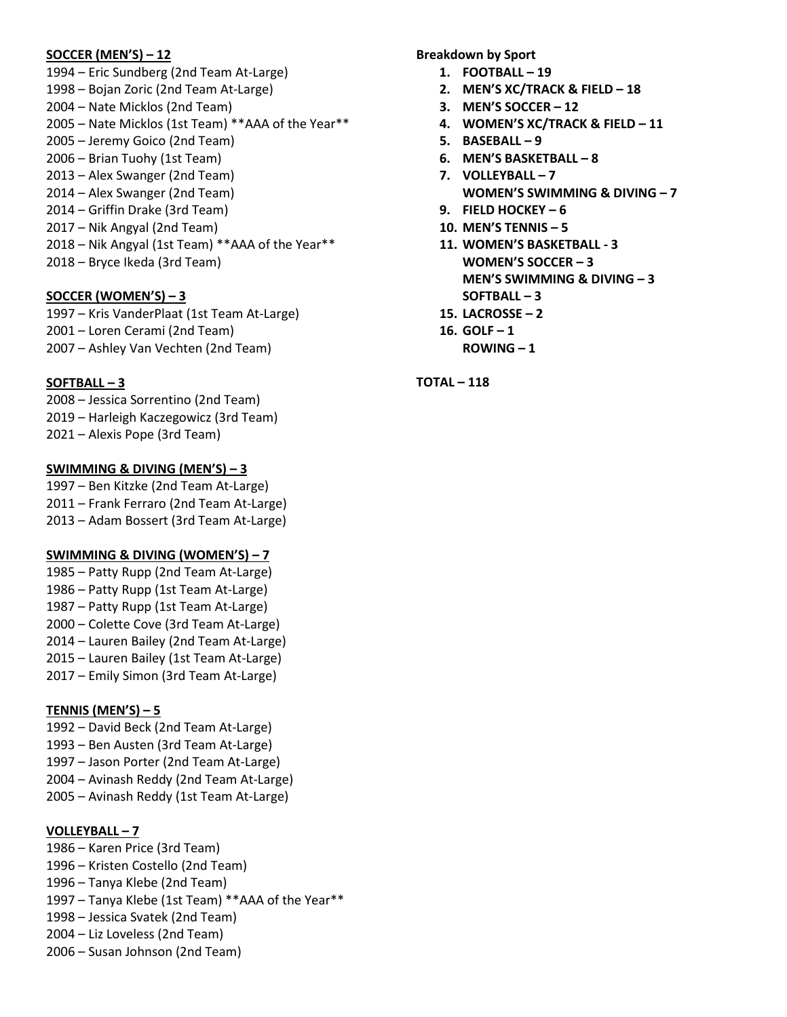#### **SOCCER (MEN'S) – 12**

1994 – Eric Sundberg (2nd Team At-Large) 1998 – Bojan Zoric (2nd Team At-Large) 2004 – Nate Micklos (2nd Team) 2005 – Nate Micklos (1st Team) \*\*AAA of the Year\*\* 2005 – Jeremy Goico (2nd Team) 2006 – Brian Tuohy (1st Team) 2013 – Alex Swanger (2nd Team) 2014 – Alex Swanger (2nd Team) 2014 – Griffin Drake (3rd Team) 2017 – Nik Angyal (2nd Team) 2018 – Nik Angyal (1st Team) \*\*AAA of the Year\*\* 2018 – Bryce Ikeda (3rd Team)

#### **SOCCER (WOMEN'S) – 3**

1997 – Kris VanderPlaat (1st Team At-Large) 2001 – Loren Cerami (2nd Team) 2007 – Ashley Van Vechten (2nd Team)

#### **SOFTBALL – 3**

2008 – Jessica Sorrentino (2nd Team) 2019 – Harleigh Kaczegowicz (3rd Team) 2021 – Alexis Pope (3rd Team)

#### **SWIMMING & DIVING (MEN'S) – 3**

1997 – Ben Kitzke (2nd Team At-Large) 2011 – Frank Ferraro (2nd Team At-Large) 2013 – Adam Bossert (3rd Team At-Large)

#### **SWIMMING & DIVING (WOMEN'S) – 7**

1985 – Patty Rupp (2nd Team At-Large) 1986 – Patty Rupp (1st Team At-Large) 1987 – Patty Rupp (1st Team At-Large) 2000 – Colette Cove (3rd Team At-Large) 2014 – Lauren Bailey (2nd Team At-Large) 2015 – Lauren Bailey (1st Team At-Large) 2017 – Emily Simon (3rd Team At-Large)

## **TENNIS (MEN'S) – 5**

1992 – David Beck (2nd Team At-Large) 1993 – Ben Austen (3rd Team At-Large) 1997 – Jason Porter (2nd Team At-Large) 2004 – Avinash Reddy (2nd Team At-Large) 2005 – Avinash Reddy (1st Team At-Large)

#### **VOLLEYBALL – 7**

1986 – Karen Price (3rd Team) 1996 – Kristen Costello (2nd Team) 1996 – Tanya Klebe (2nd Team) 1997 – Tanya Klebe (1st Team) \*\*AAA of the Year\*\* 1998 – Jessica Svatek (2nd Team) 2004 – Liz Loveless (2nd Team) 2006 – Susan Johnson (2nd Team)

**Breakdown by Sport**

- **1. FOOTBALL – 19**
- **2. MEN'S XC/TRACK & FIELD – 18**
- **3. MEN'S SOCCER – 12**
- **4. WOMEN'S XC/TRACK & FIELD – 11**
- **5. BASEBALL – 9**
- **6. MEN'S BASKETBALL – 8**
- **7. VOLLEYBALL – 7 WOMEN'S SWIMMING & DIVING – 7**
- **9. FIELD HOCKEY – 6**
- **10. MEN'S TENNIS – 5**
- **11. WOMEN'S BASKETBALL - 3 WOMEN'S SOCCER – 3 MEN'S SWIMMING & DIVING – 3 SOFTBALL – 3**
- **15. LACROSSE – 2**
- **16. GOLF – 1**
	- **ROWING – 1**

**TOTAL – 118**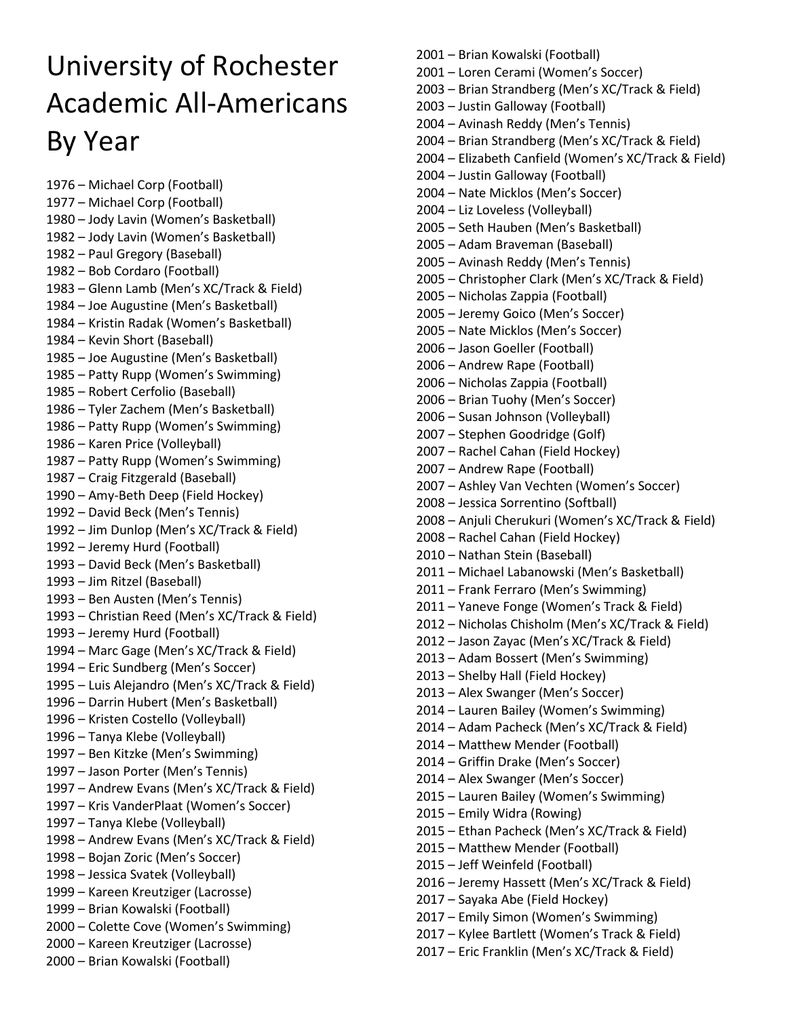# University of Rochester Academic All-Americans By Year

1976 – Michael Corp (Football) 1977 – Michael Corp (Football) 1980 – Jody Lavin (Women's Basketball) 1982 – Jody Lavin (Women's Basketball) 1982 – Paul Gregory (Baseball) 1982 – Bob Cordaro (Football) 1983 – Glenn Lamb (Men's XC/Track & Field) 1984 – Joe Augustine (Men's Basketball) 1984 – Kristin Radak (Women's Basketball) 1984 – Kevin Short (Baseball) 1985 – Joe Augustine (Men's Basketball) 1985 – Patty Rupp (Women's Swimming) 1985 – Robert Cerfolio (Baseball) 1986 – Tyler Zachem (Men's Basketball) 1986 – Patty Rupp (Women's Swimming) 1986 – Karen Price (Volleyball) 1987 – Patty Rupp (Women's Swimming) 1987 – Craig Fitzgerald (Baseball) 1990 – Amy-Beth Deep (Field Hockey) 1992 – David Beck (Men's Tennis) 1992 – Jim Dunlop (Men's XC/Track & Field) 1992 – Jeremy Hurd (Football) 1993 – David Beck (Men's Basketball) 1993 – Jim Ritzel (Baseball) 1993 – Ben Austen (Men's Tennis) 1993 – Christian Reed (Men's XC/Track & Field) 1993 – Jeremy Hurd (Football) 1994 – Marc Gage (Men's XC/Track & Field) 1994 – Eric Sundberg (Men's Soccer) 1995 – Luis Alejandro (Men's XC/Track & Field) 1996 – Darrin Hubert (Men's Basketball) 1996 – Kristen Costello (Volleyball) 1996 – Tanya Klebe (Volleyball) 1997 – Ben Kitzke (Men's Swimming) 1997 – Jason Porter (Men's Tennis) 1997 – Andrew Evans (Men's XC/Track & Field) 1997 – Kris VanderPlaat (Women's Soccer) 1997 – Tanya Klebe (Volleyball) 1998 – Andrew Evans (Men's XC/Track & Field) 1998 – Bojan Zoric (Men's Soccer) 1998 – Jessica Svatek (Volleyball) 1999 – Kareen Kreutziger (Lacrosse) 1999 – Brian Kowalski (Football) 2000 – Colette Cove (Women's Swimming) 2000 – Kareen Kreutziger (Lacrosse) 2000 – Brian Kowalski (Football)

2001 – Brian Kowalski (Football) 2001 – Loren Cerami (Women's Soccer) 2003 – Brian Strandberg (Men's XC/Track & Field) 2003 – Justin Galloway (Football) 2004 – Avinash Reddy (Men's Tennis) 2004 – Brian Strandberg (Men's XC/Track & Field) 2004 – Elizabeth Canfield (Women's XC/Track & Field) 2004 – Justin Galloway (Football) 2004 – Nate Micklos (Men's Soccer) 2004 – Liz Loveless (Volleyball) 2005 – Seth Hauben (Men's Basketball) 2005 – Adam Braveman (Baseball) 2005 – Avinash Reddy (Men's Tennis) 2005 – Christopher Clark (Men's XC/Track & Field) 2005 – Nicholas Zappia (Football) 2005 – Jeremy Goico (Men's Soccer) 2005 – Nate Micklos (Men's Soccer) 2006 – Jason Goeller (Football) 2006 – Andrew Rape (Football) 2006 – Nicholas Zappia (Football) 2006 – Brian Tuohy (Men's Soccer) 2006 – Susan Johnson (Volleyball) 2007 – Stephen Goodridge (Golf) 2007 – Rachel Cahan (Field Hockey) 2007 – Andrew Rape (Football) 2007 – Ashley Van Vechten (Women's Soccer) 2008 – Jessica Sorrentino (Softball) 2008 – Anjuli Cherukuri (Women's XC/Track & Field) 2008 – Rachel Cahan (Field Hockey) 2010 – Nathan Stein (Baseball) 2011 – Michael Labanowski (Men's Basketball) 2011 – Frank Ferraro (Men's Swimming) 2011 – Yaneve Fonge (Women's Track & Field) 2012 – Nicholas Chisholm (Men's XC/Track & Field) 2012 – Jason Zayac (Men's XC/Track & Field) 2013 – Adam Bossert (Men's Swimming) 2013 – Shelby Hall (Field Hockey) 2013 – Alex Swanger (Men's Soccer) 2014 – Lauren Bailey (Women's Swimming) 2014 – Adam Pacheck (Men's XC/Track & Field) 2014 – Matthew Mender (Football) 2014 – Griffin Drake (Men's Soccer) 2014 – Alex Swanger (Men's Soccer) 2015 – Lauren Bailey (Women's Swimming) 2015 – Emily Widra (Rowing) 2015 – Ethan Pacheck (Men's XC/Track & Field) 2015 – Matthew Mender (Football) 2015 – Jeff Weinfeld (Football) 2016 – Jeremy Hassett (Men's XC/Track & Field) 2017 – Sayaka Abe (Field Hockey) 2017 – Emily Simon (Women's Swimming) 2017 – Kylee Bartlett (Women's Track & Field) 2017 – Eric Franklin (Men's XC/Track & Field)